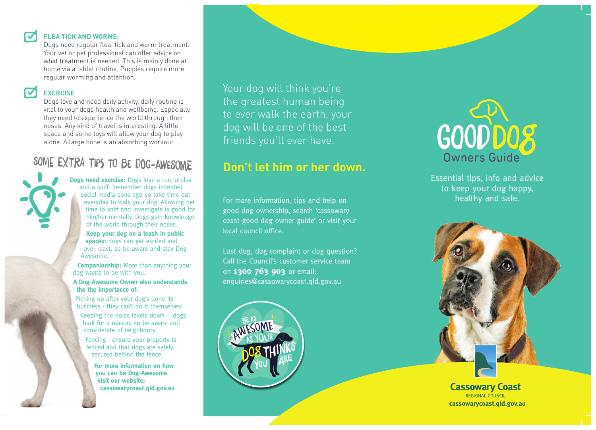## **FLEA TICK AND WORMS:**

Dogs need regular flea, tick and worm treatment. Your vet or pet professional can offer advice on what treatment is needed. This is mainly done at home via a tablet routine. Puppies require more regular worming and attention.

## **EXERCISE**

Dogs love and need daily activity, daily routine is vital to your dogs health and wellbeing. Especially, they need to experience the world through their noses. Any kind of travel is interesting. A little space and some toys will allow your dog to play alone. A large bone is an absorbing workout.

# SOME EXTRA TIPS TO BE DOG-AWESOME

**Dogs need exercise:** Dogs love a run, a play and a sniff. Remember dogs invented social media eons ago so take time out everyday to walk your dog. Allowing pet time to sniff and investigate is good for him/her mentally. Dogs gain knowledge of the world through their noses.

**Keep your dog on a leash in public spaces:** dogs can get excited and over react, so be aware and stay Dog-Awesome.

**Companionship:** More than anything your dog wants to be with you.

## **A Dog-Awesome Owner also understands the the importance of:**

Picking up after your dog's done its business - they can't do it themselves!

Keeping the noise levels down - dogs bark for a reason, so be aware and considerate of neighbours.

Fencing - ensure your property is fenced and that dogs are safely secured behind the fence.

**For more information on how you can be Dog-Awesome visit our website: cassowarycoast.qld.gov.au**  Your dog will think you're the greatest human being to ever walk the earth, your dog will be one of the best friends you'll ever have.

# **Don't let him or her down.**

For more information, tips and help on good dog ownership, search 'cassowary coast good dog owner guide' or visit your local council office.

Lost dog, dog complaint or dog question? Call the Council's customer service team on **1300 763 903** or email: enquiries@cassowarycoast.qld.gov.au





Essential tips, info and advice to keep your dog happy, healthy and safe.